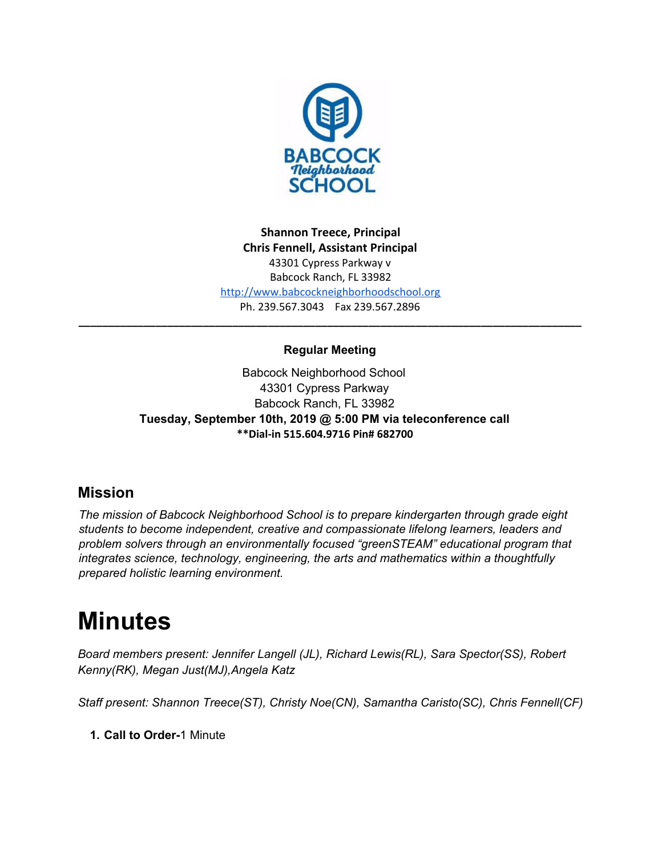

**Shannon Treece, Principal Chris Fennell, Assistant Principal** 43301 Cypress Parkway v Babcock Ranch, FL 33982 [http://www.babcockneighborhoodschool.org](http://www.babcockneighborhoodschool.org/) Ph. 239.567.3043 Fax 239.567.2896

# **Regular Meeting**

**\_\_\_\_\_\_\_\_\_\_\_\_\_\_\_\_\_\_\_\_\_\_\_\_\_\_\_\_\_\_\_\_\_\_\_\_\_\_\_\_\_\_\_\_\_\_\_\_\_\_\_\_\_\_\_\_\_\_\_\_\_\_\_\_\_\_\_\_\_\_\_\_\_\_\_\_\_\_\_\_\_\_\_\_\_**

Babcock Neighborhood School 43301 Cypress Parkway Babcock Ranch, FL 33982 **Tuesday, September 10th, 2019 @ 5:00 PM via teleconference call \*\*Dial-in 515.604.9716 Pin# 682700**

# **Mission**

*The mission of Babcock Neighborhood School is to prepare kindergarten through grade eight students to become independent, creative and compassionate lifelong learners, leaders and problem solvers through an environmentally focused "greenSTEAM" educational program that integrates science, technology, engineering, the arts and mathematics within a thoughtfully prepared holistic learning environment.*

# **Minutes**

*Board members present: Jennifer Langell (JL), Richard Lewis(RL), Sara Spector(SS), Robert Kenny(RK), Megan Just(MJ),Angela Katz*

*Staff present: Shannon Treece(ST), Christy Noe(CN), Samantha Caristo(SC), Chris Fennell(CF)*

**1. Call to Order-**1 Minute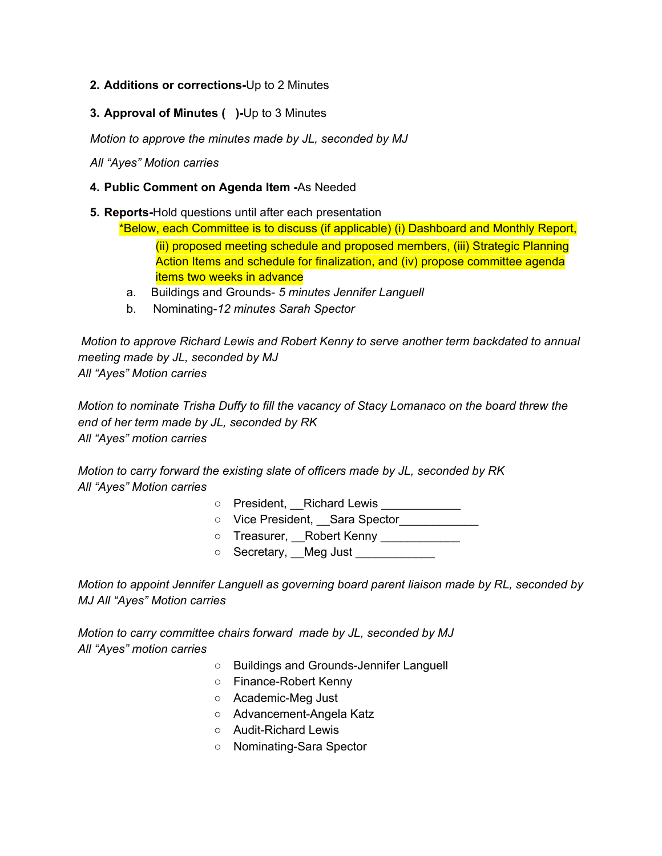#### **2. Additions or corrections-**Up to 2 Minutes

**3. Approval of Minutes ( )-**Up to 3 Minutes

*Motion to approve the minutes made by JL, seconded by MJ*

*All "Ayes" Motion carries*

- **4. Public Comment on Agenda Item -**As Needed
- **5. Reports-**Hold questions until after each presentation

\*Below, each Committee is to discuss (if applicable) (i) Dashboard and Monthly Report, (ii) proposed meeting schedule and proposed members, (iii) Strategic Planning Action Items and schedule for finalization, and (iv) propose committee agenda items two weeks in advance

- a. Buildings and Grounds- *5 minutes Jennifer Languell*
- b. Nominating-*12 minutes Sarah Spector*

*Motion to approve Richard Lewis and Robert Kenny to serve another term backdated to annual meeting made by JL, seconded by MJ All "Ayes" Motion carries*

*Motion to nominate Trisha Duffy to fill the vacancy of Stacy Lomanaco on the board threw the end of her term made by JL, seconded by RK All "Ayes" motion carries*

*Motion to carry forward the existing slate of officers made by JL, seconded by RK All "Ayes" Motion carries*

- President, Richard Lewis \_\_\_\_\_\_\_\_\_\_\_\_
- Vice President, \_\_Sara Spector\_\_\_\_\_\_\_\_\_\_\_\_\_
- o Treasurer, Robert Kenny \_\_\_\_\_\_\_\_\_\_\_
- Secretary, Meg Just \_\_\_\_\_\_\_\_\_\_\_\_

*Motion to appoint Jennifer Languell as governing board parent liaison made by RL, seconded by MJ All "Ayes" Motion carries*

*Motion to carry committee chairs forward made by JL, seconded by MJ All "Ayes" motion carries*

- Buildings and Grounds-Jennifer Languell
- Finance-Robert Kenny
- Academic-Meg Just
- Advancement-Angela Katz
- Audit-Richard Lewis
- Nominating-Sara Spector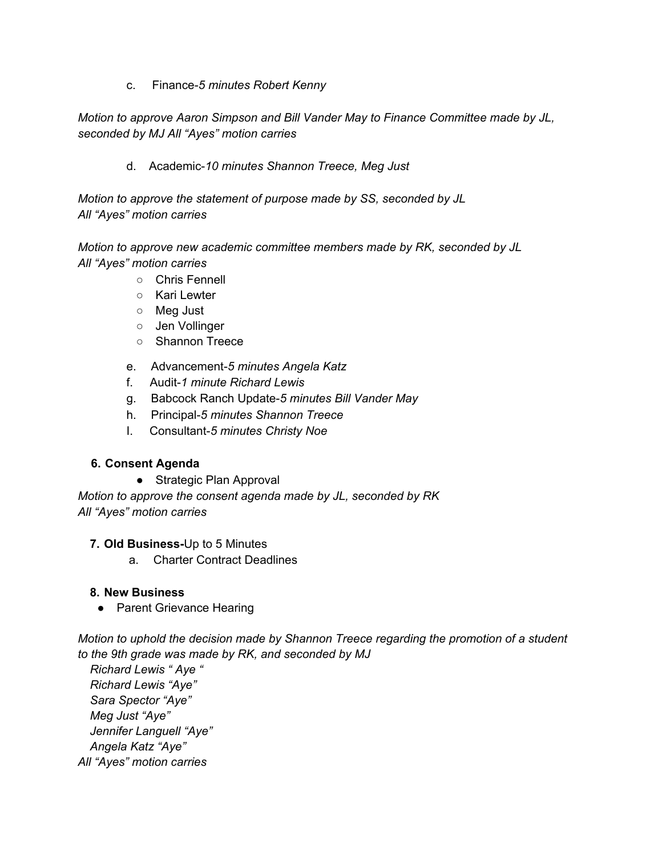c. Finance-*5 minutes Robert Kenny*

*Motion to approve Aaron Simpson and Bill Vander May to Finance Committee made by JL, seconded by MJ All "Ayes" motion carries*

d. Academic-*10 minutes Shannon Treece, Meg Just*

*Motion to approve the statement of purpose made by SS, seconded by JL All "Ayes" motion carries*

*Motion to approve new academic committee members made by RK, seconded by JL All "Ayes" motion carries*

- Chris Fennell
- Kari Lewter
- Meg Just
- Jen Vollinger
- Shannon Treece
- e. Advancement-*5 minutes Angela Katz*
- f. Audit-*1 minute Richard Lewis*
- g. Babcock Ranch Update-*5 minutes Bill Vander May*
- h. Principal-*5 minutes Shannon Treece*
- I. Consultant-*5 minutes Christy Noe*

#### **6. Consent Agenda**

● Strategic Plan Approval

*Motion to approve the consent agenda made by JL, seconded by RK All "Ayes" motion carries*

#### **7. Old Business-**Up to 5 Minutes

a. Charter Contract Deadlines

# **8. New Business**

• Parent Grievance Hearing

*Motion to uphold the decision made by Shannon Treece regarding the promotion of a student to the 9th grade was made by RK, and seconded by MJ*

*Richard Lewis " Aye " Richard Lewis "Aye" Sara Spector "Aye" Meg Just "Aye" Jennifer Languell "Aye" Angela Katz "Aye" All "Ayes" motion carries*